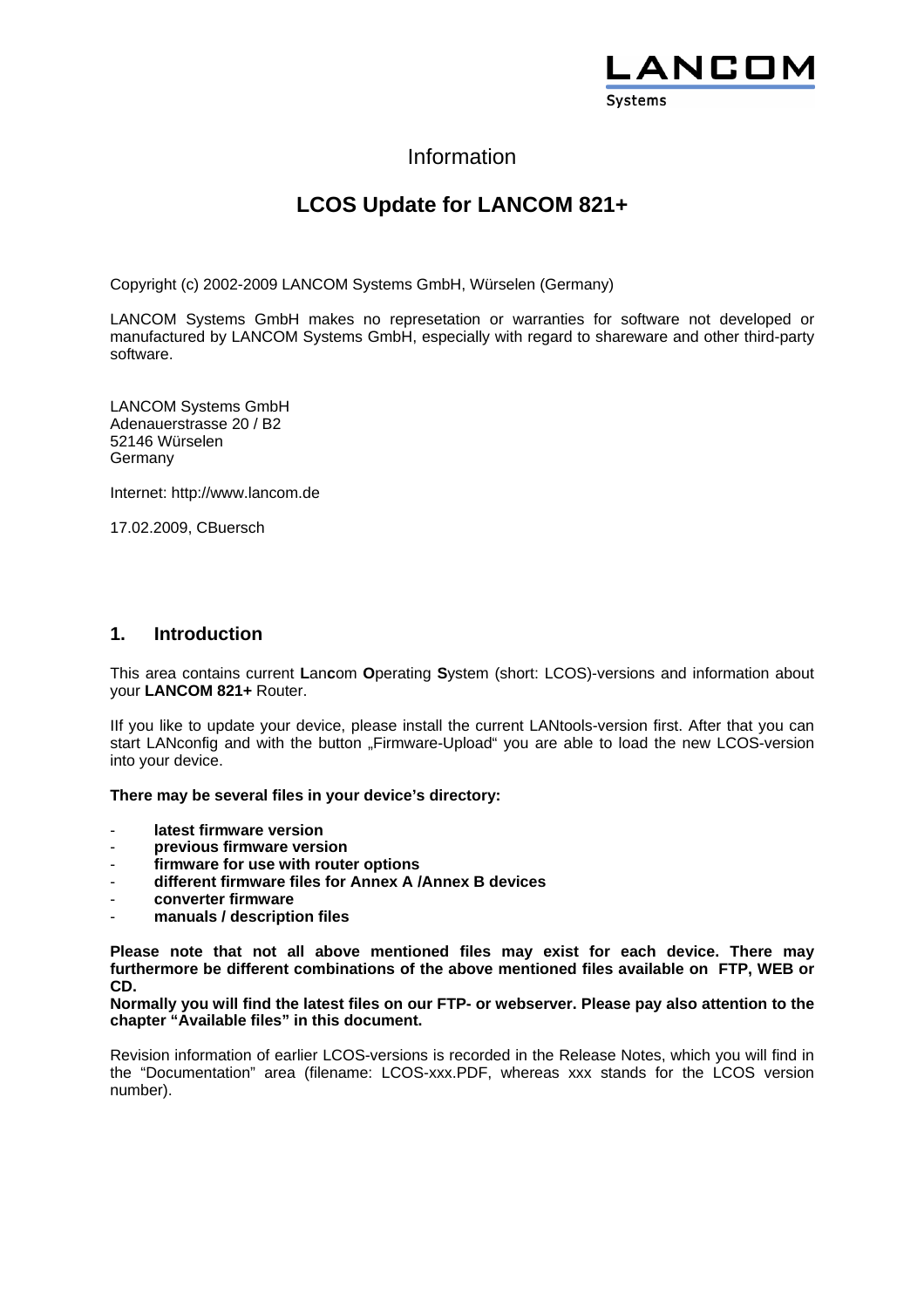

## Information

# **LCOS Update for LANCOM 821+**

Copyright (c) 2002-2009 LANCOM Systems GmbH, Würselen (Germany)

LANCOM Systems GmbH makes no represetation or warranties for software not developed or manufactured by LANCOM Systems GmbH, especially with regard to shareware and other third-party software.

LANCOM Systems GmbH Adenauerstrasse 20 / B2 52146 Würselen Germany

Internet: http://www.lancom.de

17.02.2009, CBuersch

### **1. Introduction**

This area contains current **L**an**c**om **O**perating **S**ystem (short: LCOS)-versions and information about your **LANCOM 821+** Router.

IIf you like to update your device, please install the current LANtools-version first. After that you can start LANconfig and with the button "Firmware-Upload" you are able to load the new LCOS-version into your device.

**There may be several files in your device's directory:** 

- latest firmware version
- **previous firmware version**
- **firmware for use with router options**
- **different firmware files for Annex A /Annex B devices**
- **converter firmware**
- **manuals / description files**

**Please note that not all above mentioned files may exist for each device. There may furthermore be different combinations of the above mentioned files available on FTP, WEB or CD.** 

**Normally you will find the latest files on our FTP- or webserver. Please pay also attention to the chapter "Available files" in this document.** 

Revision information of earlier LCOS-versions is recorded in the Release Notes, which you will find in the "Documentation" area (filename: LCOS-xxx.PDF, whereas xxx stands for the LCOS version number).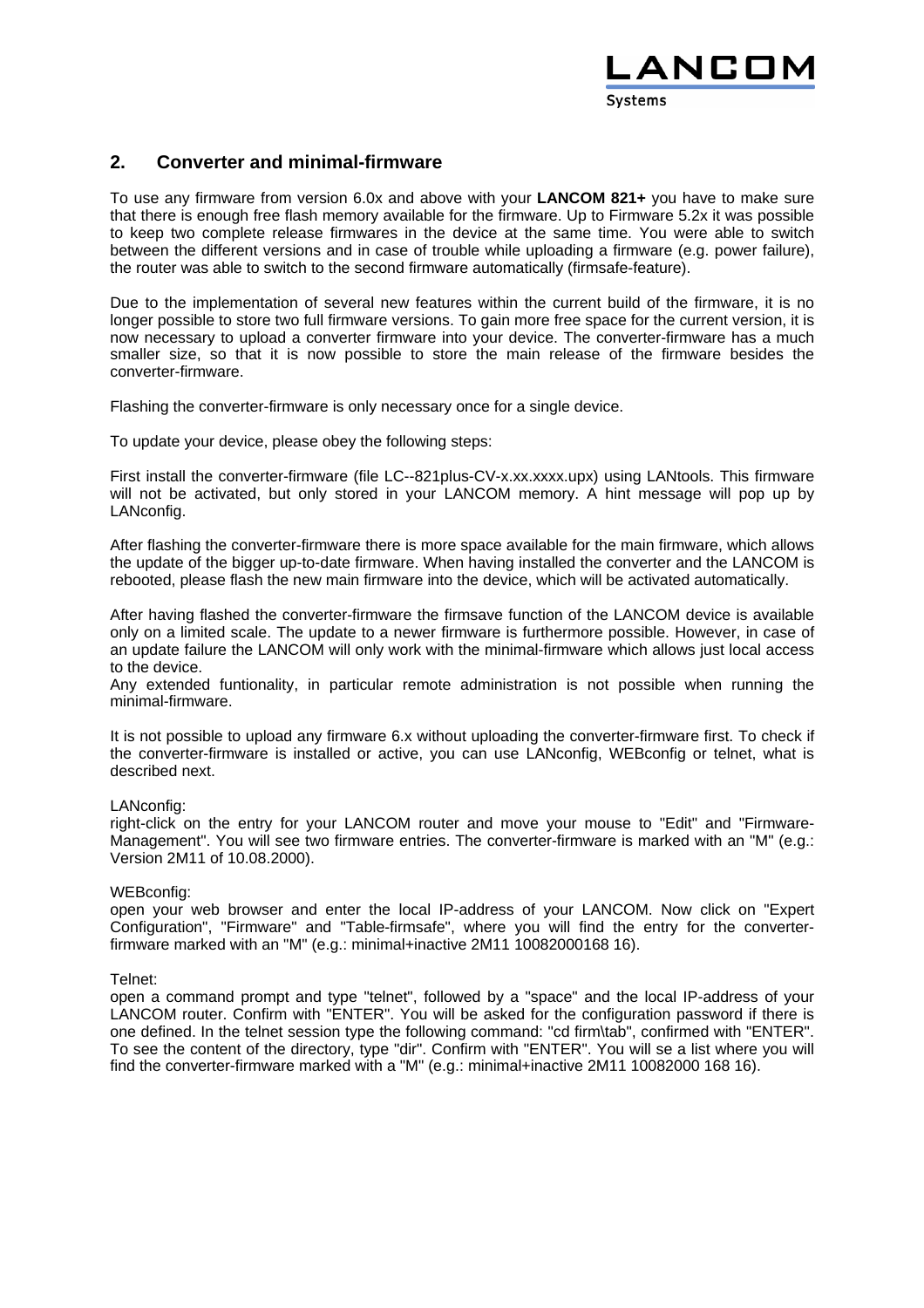

### **2. Converter and minimal-firmware**

To use any firmware from version 6.0x and above with your **LANCOM 821+** you have to make sure that there is enough free flash memory available for the firmware. Up to Firmware 5.2x it was possible to keep two complete release firmwares in the device at the same time. You were able to switch between the different versions and in case of trouble while uploading a firmware (e.g. power failure), the router was able to switch to the second firmware automatically (firmsafe-feature).

Due to the implementation of several new features within the current build of the firmware, it is no longer possible to store two full firmware versions. To gain more free space for the current version, it is now necessary to upload a converter firmware into your device. The converter-firmware has a much smaller size, so that it is now possible to store the main release of the firmware besides the converter-firmware.

Flashing the converter-firmware is only necessary once for a single device.

To update your device, please obey the following steps:

First install the converter-firmware (file LC--821plus-CV-x.xx.xxxx.upx) using LANtools. This firmware will not be activated, but only stored in your LANCOM memory. A hint message will pop up by LANconfig.

After flashing the converter-firmware there is more space available for the main firmware, which allows the update of the bigger up-to-date firmware. When having installed the converter and the LANCOM is rebooted, please flash the new main firmware into the device, which will be activated automatically.

After having flashed the converter-firmware the firmsave function of the LANCOM device is available only on a limited scale. The update to a newer firmware is furthermore possible. However, in case of an update failure the LANCOM will only work with the minimal-firmware which allows just local access to the device.

Any extended funtionality, in particular remote administration is not possible when running the minimal-firmware.

It is not possible to upload any firmware 6.x without uploading the converter-firmware first. To check if the converter-firmware is installed or active, you can use LANconfig, WEBconfig or telnet, what is described next.

#### LANconfig:

right-click on the entry for your LANCOM router and move your mouse to "Edit" and "Firmware-Management". You will see two firmware entries. The converter-firmware is marked with an "M" (e.a.: Version 2M11 of 10.08.2000).

#### WEBconfig:

open your web browser and enter the local IP-address of your LANCOM. Now click on "Expert Configuration", "Firmware" and "Table-firmsafe", where you will find the entry for the converterfirmware marked with an "M" (e.g.: minimal+inactive 2M11 10082000168 16).

Telnet:

open a command prompt and type "telnet", followed by a "space" and the local IP-address of your LANCOM router. Confirm with "ENTER". You will be asked for the configuration password if there is one defined. In the telnet session type the following command: "cd firm\tab", confirmed with "ENTER". To see the content of the directory, type "dir". Confirm with "ENTER". You will se a list where you will find the converter-firmware marked with a "M" (e.g.: minimal+inactive 2M11 10082000 168 16).